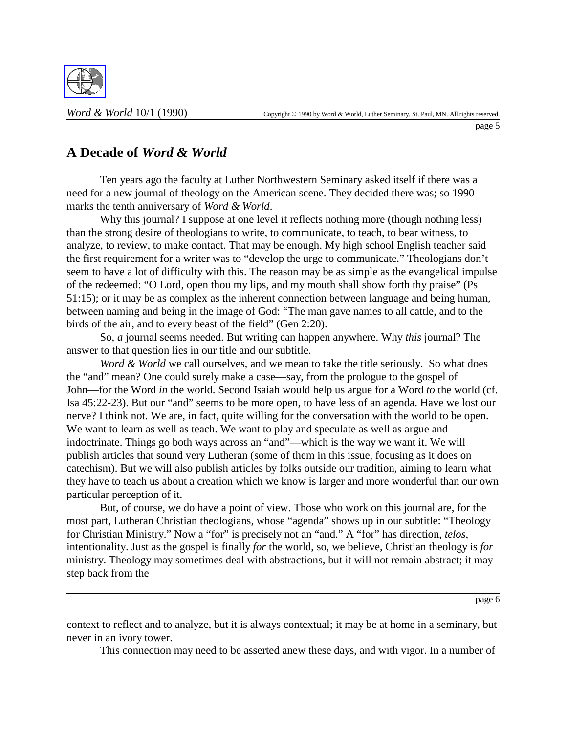

## **A Decade of** *Word & World*

Ten years ago the faculty at Luther Northwestern Seminary asked itself if there was a need for a new journal of theology on the American scene. They decided there was; so 1990 marks the tenth anniversary of *Word & World*.

Why this journal? I suppose at one level it reflects nothing more (though nothing less) than the strong desire of theologians to write, to communicate, to teach, to bear witness, to analyze, to review, to make contact. That may be enough. My high school English teacher said the first requirement for a writer was to "develop the urge to communicate." Theologians don't seem to have a lot of difficulty with this. The reason may be as simple as the evangelical impulse of the redeemed: "O Lord, open thou my lips, and my mouth shall show forth thy praise" (Ps 51:15); or it may be as complex as the inherent connection between language and being human, between naming and being in the image of God: "The man gave names to all cattle, and to the birds of the air, and to every beast of the field" (Gen 2:20).

So, *a* journal seems needed. But writing can happen anywhere. Why *this* journal? The answer to that question lies in our title and our subtitle.

*Word & World* we call ourselves, and we mean to take the title seriously. So what does the "and" mean? One could surely make a case—say, from the prologue to the gospel of John—for the Word *in* the world. Second Isaiah would help us argue for a Word *to* the world (cf. Isa 45:22-23). But our "and" seems to be more open, to have less of an agenda. Have we lost our nerve? I think not. We are, in fact, quite willing for the conversation with the world to be open. We want to learn as well as teach. We want to play and speculate as well as argue and indoctrinate. Things go both ways across an "and"—which is the way we want it. We will publish articles that sound very Lutheran (some of them in this issue, focusing as it does on catechism). But we will also publish articles by folks outside our tradition, aiming to learn what they have to teach us about a creation which we know is larger and more wonderful than our own particular perception of it.

But, of course, we do have a point of view. Those who work on this journal are, for the most part, Lutheran Christian theologians, whose "agenda" shows up in our subtitle: "Theology for Christian Ministry." Now a "for" is precisely not an "and." A "for" has direction, *telos*, intentionality. Just as the gospel is finally *for* the world, so, we believe, Christian theology is *for* ministry. Theology may sometimes deal with abstractions, but it will not remain abstract; it may step back from the

page 6

context to reflect and to analyze, but it is always contextual; it may be at home in a seminary, but never in an ivory tower.

This connection may need to be asserted anew these days, and with vigor. In a number of